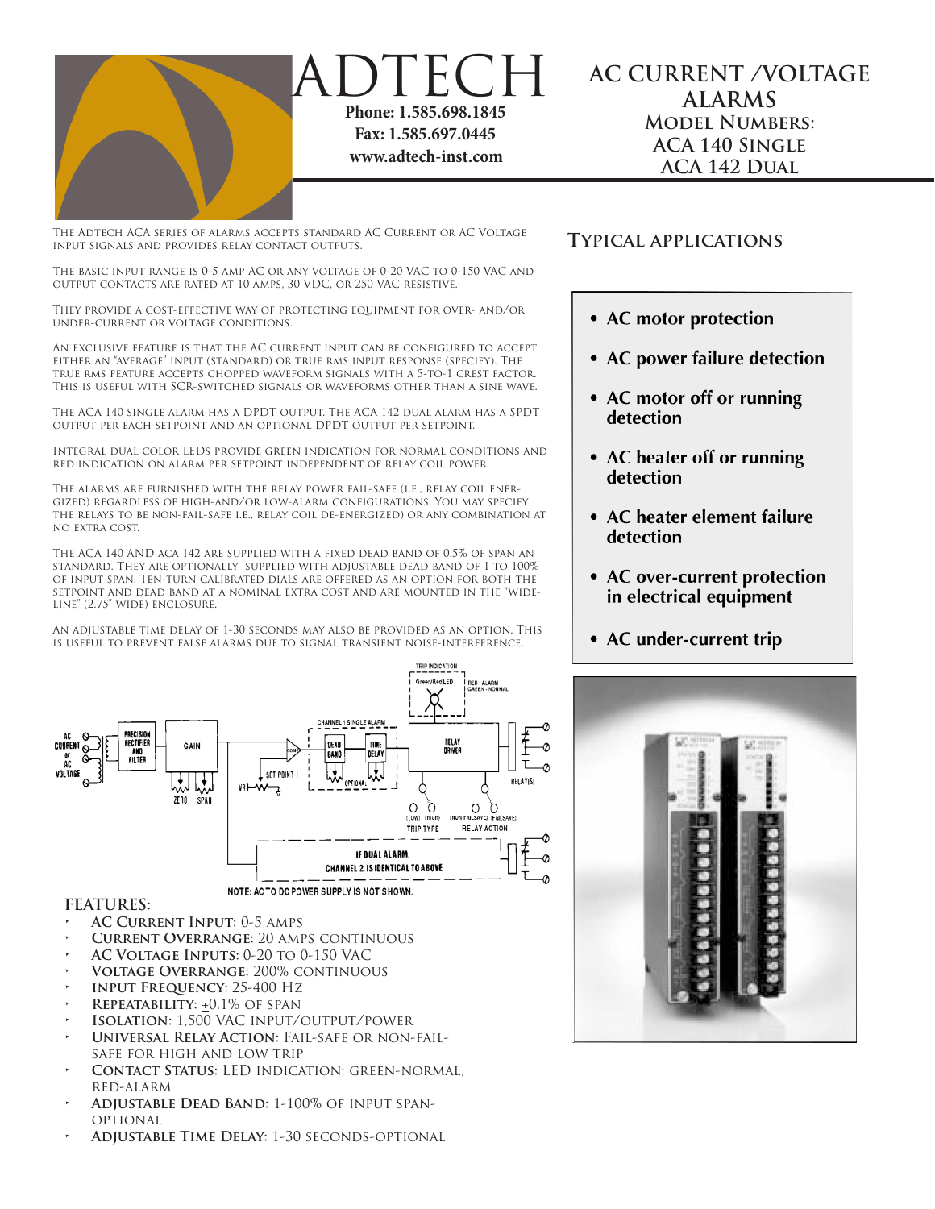

**AC CURRENT /VOLTAGE ALARMS Model Numbers: ACA 140 Single ACA 142 Dual**

The Adtech ACA series of alarms accepts standard AC Current or AC Voltage input signals and provides relay contact outputs.

ADTECH

**Phone: 1.585.698.1845 Fax: 1.585.697.0445 www.adtech-inst.com**

The basic input range is 0-5 amp AC or any voltage of 0-20 VAC to 0-150 VAC and output contacts are rated at 10 amps, 30 VDC, or 250 VAC resistive.

They provide a cost-effective way of protecting equipment for over- and/or under-current or voltage conditions.

An exclusive feature is that the AC current input can be configured to accept either an "average" input (standard) or true rms input response (specify). The true rms feature accepts chopped waveform signals with a 5-to-1 crest factor. This is useful with SCR-switched signals or waveforms other than a sine wave.

The ACA 140 single alarm has a DPDT output. The ACA 142 dual alarm has a SPDT output per each setpoint and an optional DPDT output per setpoint.

Integral dual color LEDs provide green indication for normal conditions and red indication on alarm per setpoint independent of relay coil power.

The alarms are furnished with the relay power fail-safe (i.e., relay coil energized) regardless of high-and/or low-alarm configurations. You may specify the relays to be non-fail-safe i.e., relay coil de-energized) or any combination at no extra cost.

The ACA 140 AND aca 142 are supplied with a fixed dead band of 0.5% of span an standard. They are optionally supplied with adjustable dead band of 1 to 100% of input span. Ten-turn calibrated dials are offered as an option for both the setpoint and dead band at a nominal extra cost and are mounted in the "wideline" (2.75" wide) enclosure.

An adjustable time delay of 1-30 seconds may also be provided as an option. This is useful to prevent false alarms due to signal transient noise-interference.



## **FEATURES:**

- **AC CURRENT INPUT: 0-5 AMPS**
- **• Current Overrange:** 20 amps continuous
- **• AC Voltage Inputs:** 0-20 to 0-150 VAC
- **• Voltage Overrange:** 200% continuous
- **INPUT FREQUENCY: 25-400 Hz**
- **REPEATABILITY:**  $\pm 0.1\%$  **OF SPAN**
- **ISOLATION: 1,500 VAC INPUT/OUTPUT/POWER**
- **UNIVERSAL RELAY ACTION: FAIL-SAFE OR NON-FAIL**safe for high and low trip
- **CONTACT STATUS: LED INDICATION; GREEN-NORMAL,** red-alarm
- **• Adjustable Dead Band:** 1-100% of input span-**OPTIONAL**
- **ADJUSTABLE TIME DELAY: 1-30 SECONDS-OPTIONAL**

## **Typical applications**

- AC motor protection
- AC power failure detection
- AC motor off or running detection
- AC heater off or running detection
- AC heater element failure detection
- AC over-current protection in electrical equipment
- AC under-current trip